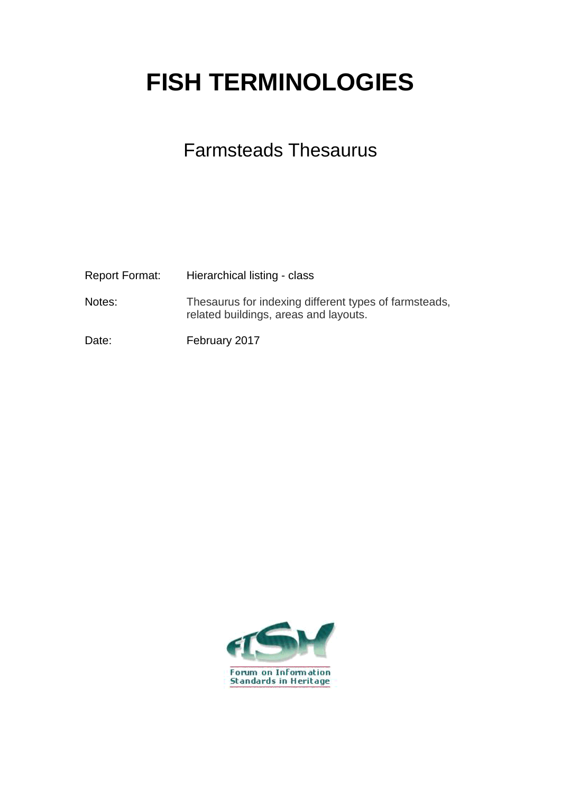## **FISH TERMINOLOGIES**

## Farmsteads Thesaurus

| <b>Report Format:</b> | Hierarchical listing - class                                                                   |
|-----------------------|------------------------------------------------------------------------------------------------|
| Notes:                | Thesaurus for indexing different types of farmsteads,<br>related buildings, areas and layouts. |
| Date:                 | February 2017                                                                                  |

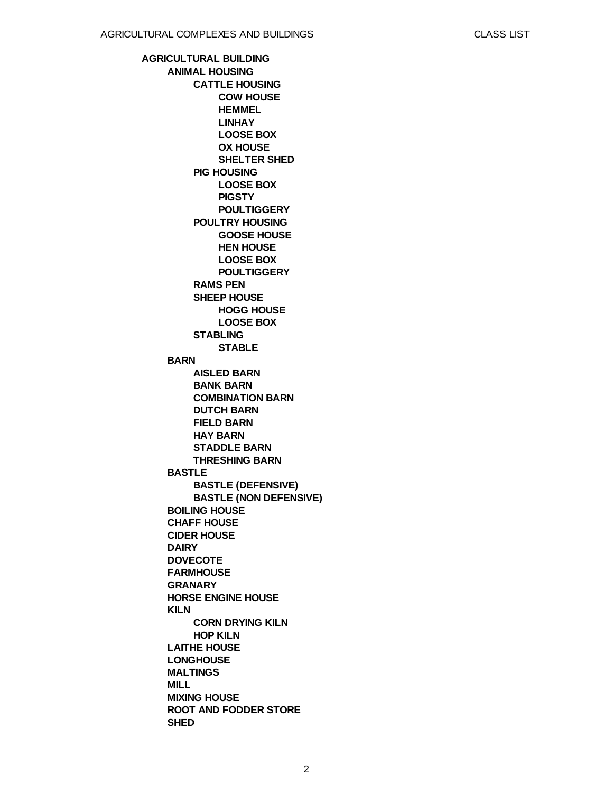**AGRICULTURAL BUILDING ANIMAL HOUSING BARN BASTLE BOILING HOUSE CHAFF HOUSE CIDER HOUSE DAIRY DOVECOTE FARMHOUSE GRANARY HORSE ENGINE HOUSE KILN LAITHE HOUSE LONGHOUSE MALTINGS MILL MIXING HOUSE ROOT AND FODDER STORE SHED CATTLE HOUSING PIG HOUSING POULTRY HOUSING RAMS PEN SHEEP HOUSE STABLING AISLED BARN BANK BARN COMBINATION BARN DUTCH BARN FIELD BARN HAY BARN STADDLE BARN THRESHING BARN BASTLE (DEFENSIVE) BASTLE (NON DEFENSIVE) CORN DRYING KILN HOP KILN COW HOUSE HEMMEL LINHAY LOOSE BOX OX HOUSE SHELTER SHED LOOSE BOX PIGSTY POULTIGGERY GOOSE HOUSE HEN HOUSE LOOSE BOX POULTIGGERY HOGG HOUSE LOOSE BOX STABLE**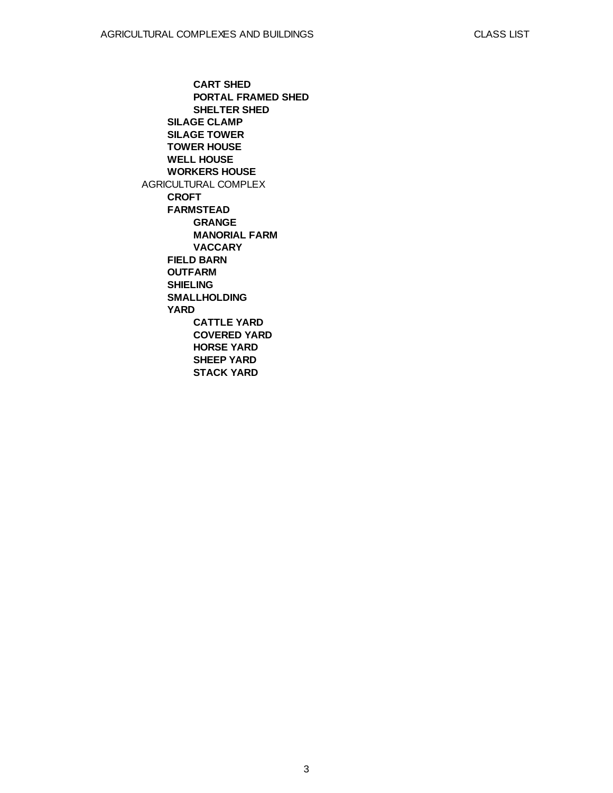AGRICULTURAL COMPLEX **SILAGE CLAMP SILAGE TOWER TOWER HOUSE WELL HOUSE WORKERS HOUSE CROFT FARMSTEAD FIELD BARN OUTFARM SHIELING SMALLHOLDING YARD CART SHED PORTAL FRAMED SHED SHELTER SHED GRANGE MANORIAL FARM VACCARY CATTLE YARD COVERED YARD HORSE YARD SHEEP YARD STACK YARD**